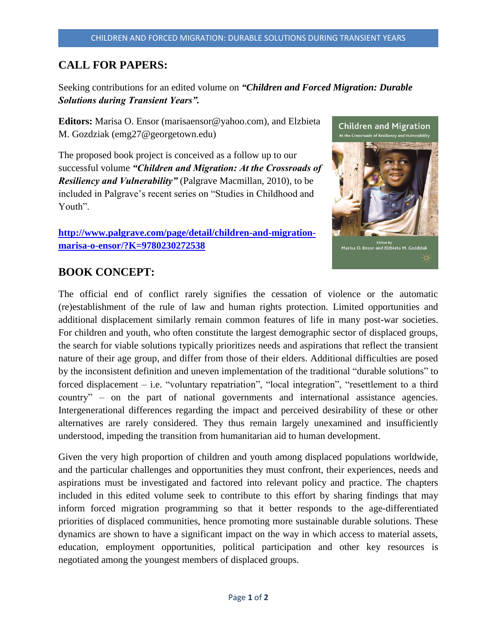## **CALL FOR PAPERS:**

Seeking contributions for an edited volume on *"Children and Forced Migration: Durable Solutions during Transient Years".*

**Editors:** Marisa O. Ensor (marisaensor@yahoo.com), and Elzbieta M. Gozdziak (emg27@georgetown.edu)

The proposed book project is conceived as a follow up to our successful volume *"Children and Migration: At the Crossroads of Resiliency and Vulnerability"* (Palgrave Macmillan, 2010), to be included in Palgrave's recent series on "Studies in Childhood and Youth".

**[http://www.palgrave.com/page/detail/children-and-migration](http://www.palgrave.com/page/detail/children-and-migration-marisa-o-ensor/?K=9780230272538)[marisa-o-ensor/?K=9780230272538](http://www.palgrave.com/page/detail/children-and-migration-marisa-o-ensor/?K=9780230272538)**



## **BOOK CONCEPT:**

The official end of conflict rarely signifies the cessation of violence or the automatic (re)establishment of the rule of law and human rights protection. Limited opportunities and additional displacement similarly remain common features of life in many post-war societies. For children and youth, who often constitute the largest demographic sector of displaced groups, the search for viable solutions typically prioritizes needs and aspirations that reflect the transient nature of their age group, and differ from those of their elders. Additional difficulties are posed by the inconsistent definition and uneven implementation of the traditional "durable solutions" to forced displacement – i.e. "voluntary repatriation", "local integration", "resettlement to a third country" – on the part of national governments and international assistance agencies. Intergenerational differences regarding the impact and perceived desirability of these or other alternatives are rarely considered. They thus remain largely unexamined and insufficiently understood, impeding the transition from humanitarian aid to human development.

Given the very high proportion of children and youth among displaced populations worldwide, and the particular challenges and opportunities they must confront, their experiences, needs and aspirations must be investigated and factored into relevant policy and practice. The chapters included in this edited volume seek to contribute to this effort by sharing findings that may inform forced migration programming so that it better responds to the age-differentiated priorities of displaced communities, hence promoting more sustainable durable solutions. These dynamics are shown to have a significant impact on the way in which access to material assets, education, employment opportunities, political participation and other key resources is negotiated among the youngest members of displaced groups.